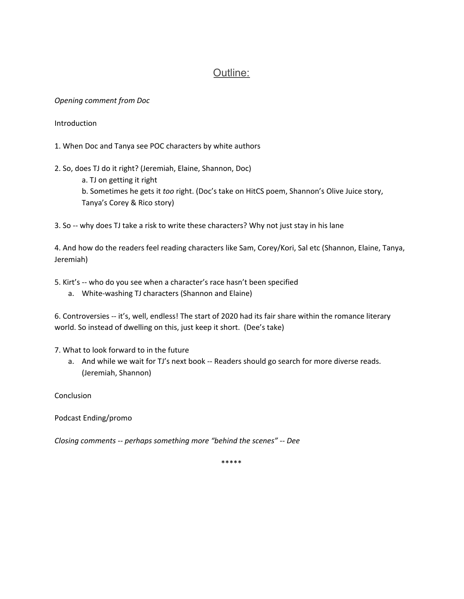# Outline:

#### *Opening comment from Doc*

Introduction

- 1. When Doc and Tanya see POC characters by white authors
- 2. So, does TJ do it right? (Jeremiah, Elaine, Shannon, Doc)
	- a. TJ on getting it right b. Sometimes he gets it *too* right. (Doc's take on HitCS poem, Shannon's Olive Juice story, Tanya's Corey & Rico story)

3. So -- why does TJ take a risk to write these characters? Why not just stay in his lane

4. And how do the readers feel reading characters like Sam, Corey/Kori, Sal etc (Shannon, Elaine, Tanya, Jeremiah)

5. Kirt's -- who do you see when a character's race hasn't been specified

a. White-washing TJ characters (Shannon and Elaine)

6. Controversies -- it's, well, endless! The start of 2020 had its fair share within the romance literary world. So instead of dwelling on this, just keep it short. (Dee's take)

7. What to look forward to in the future

a. And while we wait for TJ's next book -- Readers should go search for more diverse reads. (Jeremiah, Shannon)

Conclusion

Podcast Ending/promo

*Closing comments -- perhaps something more "behind the scenes" -- Dee*

\*\*\*\*\*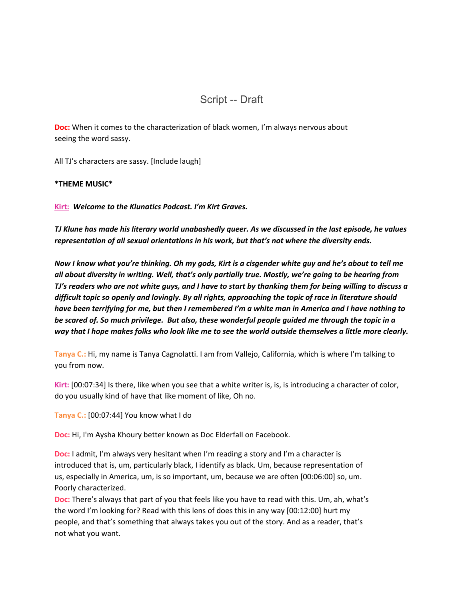## Script -- Draft

**Doc:** When it comes to the characterization of black women, I'm always nervous about seeing the word sassy.

All TJ's characters are sassy. [Include laugh]

**\*THEME MUSIC\***

**Kirt:** *Welcome to the Klunatics Podcast. I'm Kirt Graves.*

TJ Klune has made his literary world unabashedly queer. As we discussed in the last episode, he values *representation of all sexual orientations in his work, but that's not where the diversity ends.*

Now I know what you're thinking. Oh my gods, Kirt is a cisgender white guy and he's about to tell me *all about diversity in writing. Well, that's only partially true. Mostly, we're going to be hearing from* TJ's readers who are not white guys, and I have to start by thanking them for being willing to discuss a *difficult topic so openly and lovingly. By all rights, approaching the topic of race in literature should* have been terrifying for me, but then I remembered I'm a white man in America and I have nothing to *be scared of. So much privilege. But also, these wonderful people guided me through the topic in a* way that I hope makes folks who look like me to see the world outside themselves a little more clearly.

**Tanya C.:** Hi, my name is Tanya Cagnolatti. I am from Vallejo, California, which is where I'm talking to you from now.

**Kirt:** [00:07:34] Is there, like when you see that a white writer is, is, is introducing a character of color, do you usually kind of have that like moment of like, Oh no.

**Tanya C.:** [00:07:44] You know what I do

**Doc:** Hi, I'm Aysha Khoury better known as Doc Elderfall on Facebook.

**Doc:** I admit, I'm always very hesitant when I'm reading a story and I'm a character is introduced that is, um, particularly black, I identify as black. Um, because representation of us, especially in America, um, is so important, um, because we are often [00:06:00] so, um. Poorly characterized.

**Doc:** There's always that part of you that feels like you have to read with this. Um, ah, what's the word I'm looking for? Read with this lens of does this in any way [00:12:00] hurt my people, and that's something that always takes you out of the story. And as a reader, that's not what you want.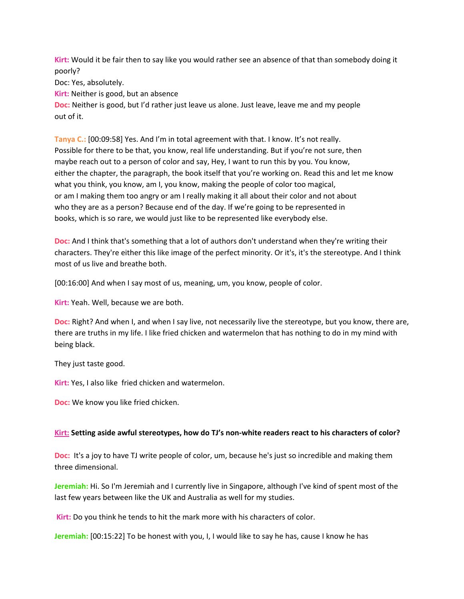**Kirt:** Would it be fair then to say like you would rather see an absence of that than somebody doing it poorly?

Doc: Yes, absolutely.

**Kirt:** Neither is good, but an absence

**Doc:** Neither is good, but I'd rather just leave us alone. Just leave, leave me and my people out of it.

**Tanya C.:** [00:09:58] Yes. And I'm in total agreement with that. I know. It's not really. Possible for there to be that, you know, real life understanding. But if you're not sure, then maybe reach out to a person of color and say, Hey, I want to run this by you. You know, either the chapter, the paragraph, the book itself that you're working on. Read this and let me know what you think, you know, am I, you know, making the people of color too magical, or am I making them too angry or am I really making it all about their color and not about who they are as a person? Because end of the day. If we're going to be represented in books, which is so rare, we would just like to be represented like everybody else.

**Doc:** And I think that's something that a lot of authors don't understand when they're writing their characters. They're either this like image of the perfect minority. Or it's, it's the stereotype. And I think most of us live and breathe both.

[00:16:00] And when I say most of us, meaning, um, you know, people of color.

**Kirt:** Yeah. Well, because we are both.

**Doc:** Right? And when I, and when I say live, not necessarily live the stereotype, but you know, there are, there are truths in my life. I like fried chicken and watermelon that has nothing to do in my mind with being black.

They just taste good.

**Kirt:** Yes, I also like fried chicken and watermelon.

**Doc:** We know you like fried chicken.

### **Kirt: Setting aside awful stereotypes, how do TJ's non-white readers react to his characters of color?**

**Doc:** It's a joy to have TJ write people of color, um, because he's just so incredible and making them three dimensional.

**Jeremiah:** Hi. So I'm Jeremiah and I currently live in Singapore, although I've kind of spent most of the last few years between like the UK and Australia as well for my studies.

**Kirt:** Do you think he tends to hit the mark more with his characters of color.

**Jeremiah:** [00:15:22] To be honest with you, I, I would like to say he has, cause I know he has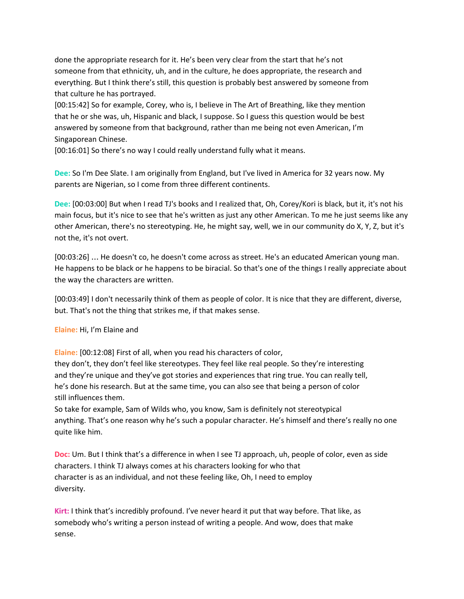done the appropriate research for it. He's been very clear from the start that he's not someone from that ethnicity, uh, and in the culture, he does appropriate, the research and everything. But I think there's still, this question is probably best answered by someone from that culture he has portrayed.

[00:15:42] So for example, Corey, who is, I believe in The Art of Breathing, like they mention that he or she was, uh, Hispanic and black, I suppose. So I guess this question would be best answered by someone from that background, rather than me being not even American, I'm Singaporean Chinese.

[00:16:01] So there's no way I could really understand fully what it means.

**Dee:** So I'm Dee Slate. I am originally from England, but I've lived in America for 32 years now. My parents are Nigerian, so I come from three different continents.

**Dee:** [00:03:00] But when I read TJ's books and I realized that, Oh, Corey/Kori is black, but it, it's not his main focus, but it's nice to see that he's written as just any other American. To me he just seems like any other American, there's no stereotyping. He, he might say, well, we in our community do X, Y, Z, but it's not the, it's not overt.

[00:03:26] … He doesn't co, he doesn't come across as street. He's an educated American young man. He happens to be black or he happens to be biracial. So that's one of the things I really appreciate about the way the characters are written.

[00:03:49] I don't necessarily think of them as people of color. It is nice that they are different, diverse, but. That's not the thing that strikes me, if that makes sense.

**Elaine:** Hi, I'm Elaine and

**Elaine:** [00:12:08] First of all, when you read his characters of color,

they don't, they don't feel like stereotypes. They feel like real people. So they're interesting and they're unique and they've got stories and experiences that ring true. You can really tell, he's done his research. But at the same time, you can also see that being a person of color still influences them.

So take for example, Sam of Wilds who, you know, Sam is definitely not stereotypical anything. That's one reason why he's such a popular character. He's himself and there's really no one quite like him.

**Doc:** Um. But I think that's a difference in when I see TJ approach, uh, people of color, even as side characters. I think TJ always comes at his characters looking for who that character is as an individual, and not these feeling like, Oh, I need to employ diversity.

**Kirt:** I think that's incredibly profound. I've never heard it put that way before. That like, as somebody who's writing a person instead of writing a people. And wow, does that make sense.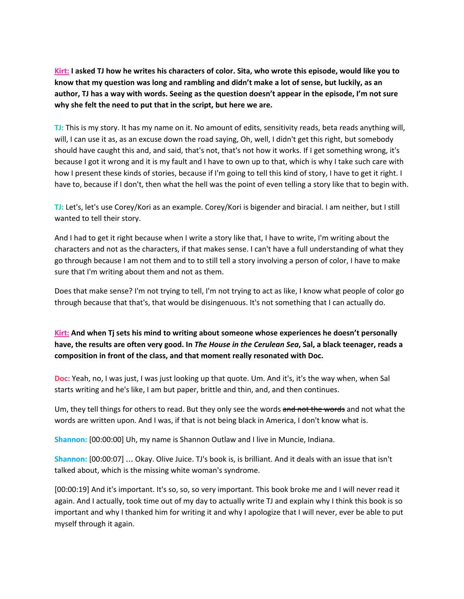Kirt: I asked TJ how he writes his characters of color. Sita, who wrote this episode, would like you to know that my question was long and rambling and didn't make a lot of sense, but luckily, as an author, TJ has a way with words. Seeing as the question doesn't appear in the episode, I'm not sure **why she felt the need to put that in the script, but here we are.**

**TJ:** This is my story. It has my name on it. No amount of edits, sensitivity reads, beta reads anything will, will, I can use it as, as an excuse down the road saying, Oh, well, I didn't get this right, but somebody should have caught this and, and said, that's not, that's not how it works. If I get something wrong, it's because I got it wrong and it is my fault and I have to own up to that, which is why I take such care with how I present these kinds of stories, because if I'm going to tell this kind of story, I have to get it right. I have to, because if I don't, then what the hell was the point of even telling a story like that to begin with.

**TJ:** Let's, let's use Corey/Kori as an example. Corey/Kori is bigender and biracial. I am neither, but I still wanted to tell their story.

And I had to get it right because when I write a story like that, I have to write, I'm writing about the characters and not as the characters, if that makes sense. I can't have a full understanding of what they go through because I am not them and to to still tell a story involving a person of color, I have to make sure that I'm writing about them and not as them.

Does that make sense? I'm not trying to tell, I'm not trying to act as like, I know what people of color go through because that that's, that would be disingenuous. It's not something that I can actually do.

**Kirt: And when Tj sets his mind to writing about someone whose experiences he doesn't personally** have, the results are often very good. In The House in the Cerulean Sea, Sal, a black teenager, reads a **composition in front of the class, and that moment really resonated with Doc.**

**Doc:** Yeah, no, I was just, I was just looking up that quote. Um. And it's, it's the way when, when Sal starts writing and he's like, I am but paper, brittle and thin, and, and then continues.

Um, they tell things for others to read. But they only see the words and not the words and not what the words are written upon. And I was, if that is not being black in America, I don't know what is.

**Shannon:** [00:00:00] Uh, my name is Shannon Outlaw and I live in Muncie, Indiana.

**Shannon:** [00:00:07] … Okay. Olive Juice. TJ's book is, is brilliant. And it deals with an issue that isn't talked about, which is the missing white woman's syndrome.

[00:00:19] And it's important. It's so, so, so very important. This book broke me and I will never read it again. And I actually, took time out of my day to actually write TJ and explain why I think this book is so important and why I thanked him for writing it and why I apologize that I will never, ever be able to put myself through it again.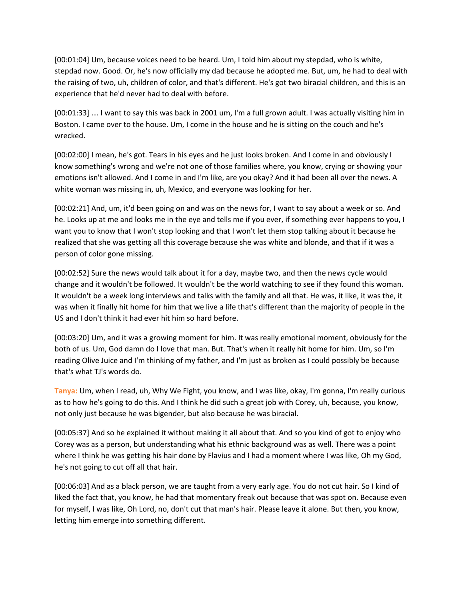[00:01:04] Um, because voices need to be heard. Um, I told him about my stepdad, who is white, stepdad now. Good. Or, he's now officially my dad because he adopted me. But, um, he had to deal with the raising of two, uh, children of color, and that's different. He's got two biracial children, and this is an experience that he'd never had to deal with before.

[00:01:33] … I want to say this was back in 2001 um, I'm a full grown adult. I was actually visiting him in Boston. I came over to the house. Um, I come in the house and he is sitting on the couch and he's wrecked.

[00:02:00] I mean, he's got. Tears in his eyes and he just looks broken. And I come in and obviously I know something's wrong and we're not one of those families where, you know, crying or showing your emotions isn't allowed. And I come in and I'm like, are you okay? And it had been all over the news. A white woman was missing in, uh, Mexico, and everyone was looking for her.

[00:02:21] And, um, it'd been going on and was on the news for, I want to say about a week or so. And he. Looks up at me and looks me in the eye and tells me if you ever, if something ever happens to you, I want you to know that I won't stop looking and that I won't let them stop talking about it because he realized that she was getting all this coverage because she was white and blonde, and that if it was a person of color gone missing.

[00:02:52] Sure the news would talk about it for a day, maybe two, and then the news cycle would change and it wouldn't be followed. It wouldn't be the world watching to see if they found this woman. It wouldn't be a week long interviews and talks with the family and all that. He was, it like, it was the, it was when it finally hit home for him that we live a life that's different than the majority of people in the US and I don't think it had ever hit him so hard before.

[00:03:20] Um, and it was a growing moment for him. It was really emotional moment, obviously for the both of us. Um, God damn do I love that man. But. That's when it really hit home for him. Um, so I'm reading Olive Juice and I'm thinking of my father, and I'm just as broken as I could possibly be because that's what TJ's words do.

**Tanya:** Um, when I read, uh, Why We Fight, you know, and I was like, okay, I'm gonna, I'm really curious as to how he's going to do this. And I think he did such a great job with Corey, uh, because, you know, not only just because he was bigender, but also because he was biracial.

[00:05:37] And so he explained it without making it all about that. And so you kind of got to enjoy who Corey was as a person, but understanding what his ethnic background was as well. There was a point where I think he was getting his hair done by Flavius and I had a moment where I was like, Oh my God, he's not going to cut off all that hair.

[00:06:03] And as a black person, we are taught from a very early age. You do not cut hair. So I kind of liked the fact that, you know, he had that momentary freak out because that was spot on. Because even for myself, I was like, Oh Lord, no, don't cut that man's hair. Please leave it alone. But then, you know, letting him emerge into something different.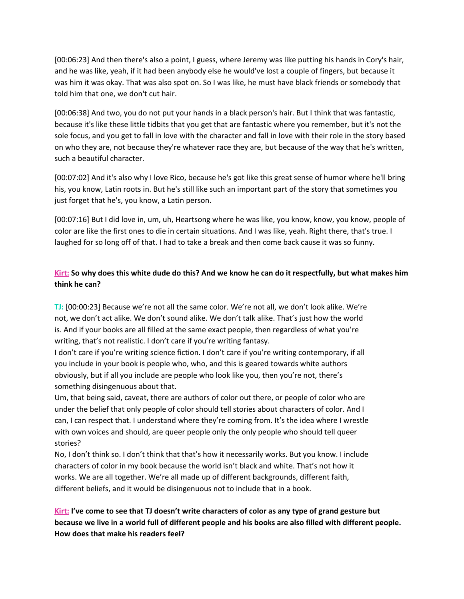[00:06:23] And then there's also a point, I guess, where Jeremy was like putting his hands in Cory's hair, and he was like, yeah, if it had been anybody else he would've lost a couple of fingers, but because it was him it was okay. That was also spot on. So I was like, he must have black friends or somebody that told him that one, we don't cut hair.

[00:06:38] And two, you do not put your hands in a black person's hair. But I think that was fantastic, because it's like these little tidbits that you get that are fantastic where you remember, but it's not the sole focus, and you get to fall in love with the character and fall in love with their role in the story based on who they are, not because they're whatever race they are, but because of the way that he's written, such a beautiful character.

[00:07:02] And it's also why I love Rico, because he's got like this great sense of humor where he'll bring his, you know, Latin roots in. But he's still like such an important part of the story that sometimes you just forget that he's, you know, a Latin person.

[00:07:16] But I did love in, um, uh, Heartsong where he was like, you know, know, you know, people of color are like the first ones to die in certain situations. And I was like, yeah. Right there, that's true. I laughed for so long off of that. I had to take a break and then come back cause it was so funny.

### Kirt: So why does this white dude do this? And we know he can do it respectfully, but what makes him **think he can?**

**TJ:** [00:00:23] Because we're not all the same color. We're not all, we don't look alike. We're not, we don't act alike. We don't sound alike. We don't talk alike. That's just how the world is. And if your books are all filled at the same exact people, then regardless of what you're writing, that's not realistic. I don't care if you're writing fantasy.

I don't care if you're writing science fiction. I don't care if you're writing contemporary, if all you include in your book is people who, who, and this is geared towards white authors obviously, but if all you include are people who look like you, then you're not, there's something disingenuous about that.

Um, that being said, caveat, there are authors of color out there, or people of color who are under the belief that only people of color should tell stories about characters of color. And I can, I can respect that. I understand where they're coming from. It's the idea where I wrestle with own voices and should, are queer people only the only people who should tell queer stories?

No, I don't think so. I don't think that that's how it necessarily works. But you know. I include characters of color in my book because the world isn't black and white. That's not how it works. We are all together. We're all made up of different backgrounds, different faith, different beliefs, and it would be disingenuous not to include that in a book.

Kirt: I've come to see that TJ doesn't write characters of color as any type of grand gesture but because we live in a world full of different people and his books are also filled with different people. **How does that make his readers feel?**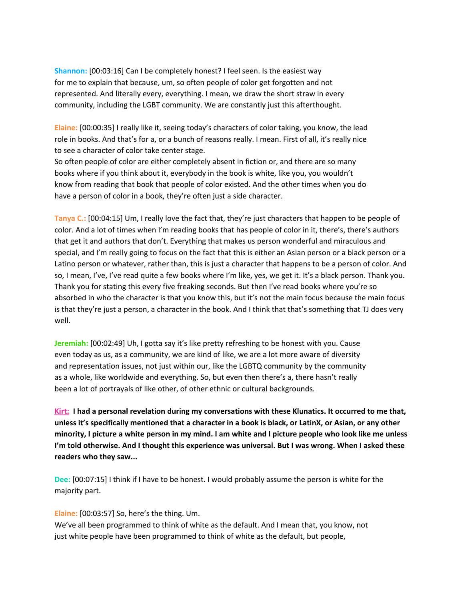**Shannon:** [00:03:16] Can I be completely honest? I feel seen. Is the easiest way for me to explain that because, um, so often people of color get forgotten and not represented. And literally every, everything. I mean, we draw the short straw in every community, including the LGBT community. We are constantly just this afterthought.

**Elaine:** [00:00:35] I really like it, seeing today's characters of color taking, you know, the lead role in books. And that's for a, or a bunch of reasons really. I mean. First of all, it's really nice to see a character of color take center stage.

So often people of color are either completely absent in fiction or, and there are so many books where if you think about it, everybody in the book is white, like you, you wouldn't know from reading that book that people of color existed. And the other times when you do have a person of color in a book, they're often just a side character.

**Tanya C.:** [00:04:15] Um, I really love the fact that, they're just characters that happen to be people of color. And a lot of times when I'm reading books that has people of color in it, there's, there's authors that get it and authors that don't. Everything that makes us person wonderful and miraculous and special, and I'm really going to focus on the fact that this is either an Asian person or a black person or a Latino person or whatever, rather than, this is just a character that happens to be a person of color. And so, I mean, I've, I've read quite a few books where I'm like, yes, we get it. It's a black person. Thank you. Thank you for stating this every five freaking seconds. But then I've read books where you're so absorbed in who the character is that you know this, but it's not the main focus because the main focus is that they're just a person, a character in the book. And I think that that's something that TJ does very well.

**Jeremiah:** [00:02:49] Uh, I gotta say it's like pretty refreshing to be honest with you. Cause even today as us, as a community, we are kind of like, we are a lot more aware of diversity and representation issues, not just within our, like the LGBTQ community by the community as a whole, like worldwide and everything. So, but even then there's a, there hasn't really been a lot of portrayals of like other, of other ethnic or cultural backgrounds.

**Kirt: I had a personal revelation during my conversations with these Klunatics. It occurred to me that,** unless it's specifically mentioned that a character in a book is black, or LatinX, or Asian, or any other minority, I picture a white person in my mind. I am white and I picture people who look like me unless I'm told otherwise. And I thought this experience was universal. But I was wrong. When I asked these **readers who they saw...**

**Dee:** [00:07:15] I think if I have to be honest. I would probably assume the person is white for the majority part.

#### **Elaine:** [00:03:57] So, here's the thing. Um.

We've all been programmed to think of white as the default. And I mean that, you know, not just white people have been programmed to think of white as the default, but people,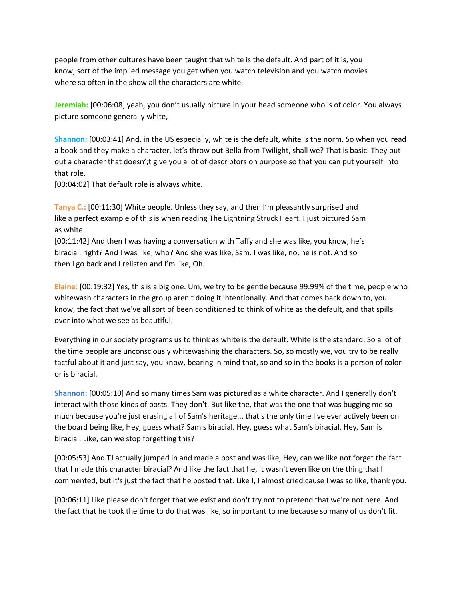people from other cultures have been taught that white is the default. And part of it is, you know, sort of the implied message you get when you watch television and you watch movies where so often in the show all the characters are white.

**Jeremiah:** [00:06:08] yeah, you don't usually picture in your head someone who is of color. You always picture someone generally white,

**Shannon:** [00:03:41] And, in the US especially, white is the default, white is the norm. So when you read a book and they make a character, let's throw out Bella from Twilight, shall we? That is basic. They put out a character that doesn';t give you a lot of descriptors on purpose so that you can put yourself into that role.

[00:04:02] That default role is always white.

**Tanya C.:** [00:11:30] White people. Unless they say, and then I'm pleasantly surprised and like a perfect example of this is when reading The Lightning Struck Heart. I just pictured Sam as white.

[00:11:42] And then I was having a conversation with Taffy and she was like, you know, he's biracial, right? And I was like, who? And she was like, Sam. I was like, no, he is not. And so then I go back and I relisten and I'm like, Oh.

**Elaine:** [00:19:32] Yes, this is a big one. Um, we try to be gentle because 99.99% of the time, people who whitewash characters in the group aren't doing it intentionally. And that comes back down to, you know, the fact that we've all sort of been conditioned to think of white as the default, and that spills over into what we see as beautiful.

Everything in our society programs us to think as white is the default. White is the standard. So a lot of the time people are unconsciously whitewashing the characters. So, so mostly we, you try to be really tactful about it and just say, you know, bearing in mind that, so and so in the books is a person of color or is biracial.

**Shannon:** [00:05:10] And so many times Sam was pictured as a white character. And I generally don't interact with those kinds of posts. They don't. But like the, that was the one that was bugging me so much because you're just erasing all of Sam's heritage... that's the only time I've ever actively been on the board being like, Hey, guess what? Sam's biracial. Hey, guess what Sam's biracial. Hey, Sam is biracial. Like, can we stop forgetting this?

[00:05:53] And TJ actually jumped in and made a post and was like, Hey, can we like not forget the fact that I made this character biracial? And like the fact that he, it wasn't even like on the thing that I commented, but it's just the fact that he posted that. Like I, I almost cried cause I was so like, thank you.

[00:06:11] Like please don't forget that we exist and don't try not to pretend that we're not here. And the fact that he took the time to do that was like, so important to me because so many of us don't fit.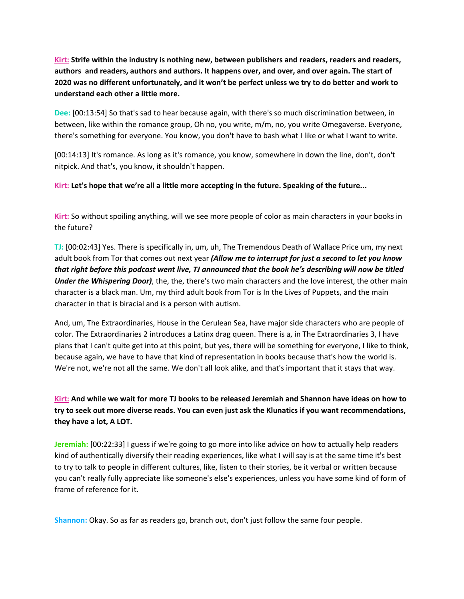**Kirt: Strife within the industry is nothing new, between publishers and readers, readers and readers, authors and readers, authors and authors. It happens over, and over, and over again. The start of** 2020 was no different unfortunately, and it won't be perfect unless we try to do better and work to **understand each other a little more.**

**Dee:** [00:13:54] So that's sad to hear because again, with there's so much discrimination between, in between, like within the romance group, Oh no, you write, m/m, no, you write Omegaverse. Everyone, there's something for everyone. You know, you don't have to bash what I like or what I want to write.

[00:14:13] It's romance. As long as it's romance, you know, somewhere in down the line, don't, don't nitpick. And that's, you know, it shouldn't happen.

**Kirt: Let's hope that we're all a little more accepting in the future. Speaking of the future...**

**Kirt:** So without spoiling anything, will we see more people of color as main characters in your books in the future?

**TJ:** [00:02:43] Yes. There is specifically in, um, uh, The Tremendous Death of Wallace Price um, my next adult book from Tor that comes out next year *(Allow me to interrupt for just a second to let you know* that right before this podcast went live, TJ announced that the book he's describing will now be titled *Under the Whispering Door)*, the, the, there's two main characters and the love interest, the other main character is a black man. Um, my third adult book from Tor is In the Lives of Puppets, and the main character in that is biracial and is a person with autism.

And, um, The Extraordinaries, House in the Cerulean Sea, have major side characters who are people of color. The Extraordinaries 2 introduces a Latinx drag queen. There is a, in The Extraordinaries 3, I have plans that I can't quite get into at this point, but yes, there will be something for everyone, I like to think, because again, we have to have that kind of representation in books because that's how the world is. We're not, we're not all the same. We don't all look alike, and that's important that it stays that way.

Kirt: And while we wait for more TJ books to be released Jeremiah and Shannon have ideas on how to try to seek out more diverse reads. You can even just ask the Klunatics if you want recommendations, **they have a lot, A LOT.**

**Jeremiah:** [00:22:33] I guess if we're going to go more into like advice on how to actually help readers kind of authentically diversify their reading experiences, like what I will say is at the same time it's best to try to talk to people in different cultures, like, listen to their stories, be it verbal or written because you can't really fully appreciate like someone's else's experiences, unless you have some kind of form of frame of reference for it.

**Shannon:** Okay. So as far as readers go, branch out, don't just follow the same four people.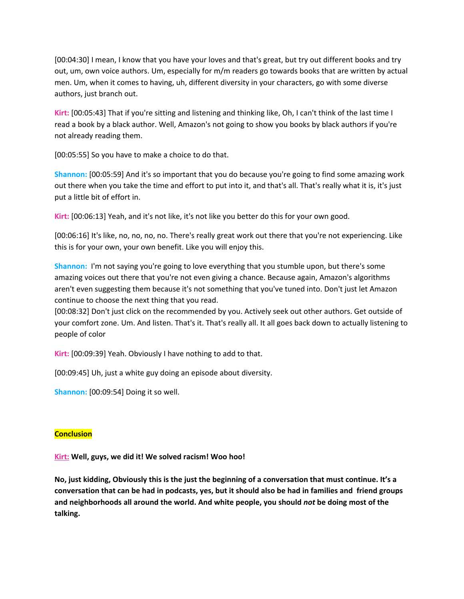[00:04:30] I mean, I know that you have your loves and that's great, but try out different books and try out, um, own voice authors. Um, especially for m/m readers go towards books that are written by actual men. Um, when it comes to having, uh, different diversity in your characters, go with some diverse authors, just branch out.

**Kirt:** [00:05:43] That if you're sitting and listening and thinking like, Oh, I can't think of the last time I read a book by a black author. Well, Amazon's not going to show you books by black authors if you're not already reading them.

[00:05:55] So you have to make a choice to do that.

**Shannon:** [00:05:59] And it's so important that you do because you're going to find some amazing work out there when you take the time and effort to put into it, and that's all. That's really what it is, it's just put a little bit of effort in.

**Kirt:** [00:06:13] Yeah, and it's not like, it's not like you better do this for your own good.

[00:06:16] It's like, no, no, no, no. There's really great work out there that you're not experiencing. Like this is for your own, your own benefit. Like you will enjoy this.

**Shannon:** I'm not saying you're going to love everything that you stumble upon, but there's some amazing voices out there that you're not even giving a chance. Because again, Amazon's algorithms aren't even suggesting them because it's not something that you've tuned into. Don't just let Amazon continue to choose the next thing that you read.

[00:08:32] Don't just click on the recommended by you. Actively seek out other authors. Get outside of your comfort zone. Um. And listen. That's it. That's really all. It all goes back down to actually listening to people of color

**Kirt:** [00:09:39] Yeah. Obviously I have nothing to add to that.

[00:09:45] Uh, just a white guy doing an episode about diversity.

**Shannon:** [00:09:54] Doing it so well.

#### **Conclusion**

**Kirt: Well, guys, we did it! We solved racism! Woo hoo!**

No, just kidding, Obviously this is the just the beginning of a conversation that must continue. It's a conversation that can be had in podcasts, yes, but it should also be had in families and friend groups **and neighborhoods all around the world. And white people, you should** *not* **be doing most of the talking.**